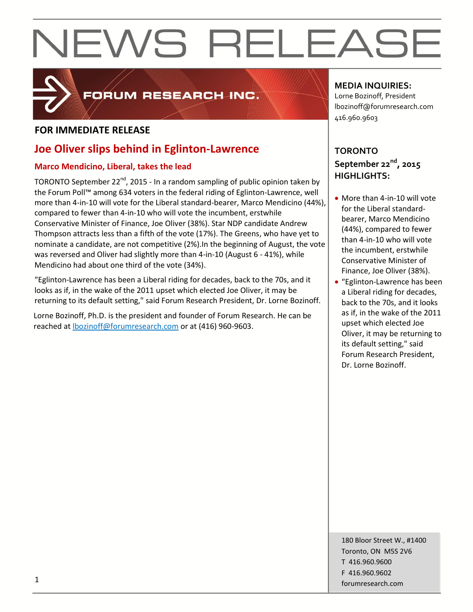

## FORUM RESEARCH INC.

#### **FOR IMMEDIATE RELEASE**

### **Joe Oliver slips behind in Eglinton-Lawrence**

#### **Marco Mendicino, Liberal, takes the lead**

TORONTO September 22<sup>nd</sup>, 2015 - In a random sampling of public opinion taken by the Forum Poll™ among 634 voters in the federal riding of Eglinton-Lawrence, well more than 4-in-10 will vote for the Liberal standard-bearer, Marco Mendicino (44%), compared to fewer than 4-in-10 who will vote the incumbent, erstwhile Conservative Minister of Finance, Joe Oliver (38%). Star NDP candidate Andrew Thompson attracts less than a fifth of the vote (17%). The Greens, who have yet to nominate a candidate, are not competitive (2%).In the beginning of August, the vote was reversed and Oliver had slightly more than 4-in-10 (August 6 - 41%), while Mendicino had about one third of the vote (34%).

"Eglinton-Lawrence has been a Liberal riding for decades, back to the 70s, and it looks as if, in the wake of the 2011 upset which elected Joe Oliver, it may be returning to its default setting," said Forum Research President, Dr. Lorne Bozinoff.

Lorne Bozinoff, Ph.D. is the president and founder of Forum Research. He can be reached at [lbozinoff@forumresearch.com](mailto:lbozinoff@forumresearch.com) or at (416) 960-9603.

#### **MEDIA INQUIRIES:**

Lorne Bozinoff, President lbozinoff@forumresearch.com 416.960.9603

### **TORONTO September 22nd, 2015 HIGHLIGHTS:**

- More than 4-in-10 will vote for the Liberal standardbearer, Marco Mendicino (44%), compared to fewer than 4-in-10 who will vote the incumbent, erstwhile Conservative Minister of Finance, Joe Oliver (38%).
- "Eglinton-Lawrence has been a Liberal riding for decades, back to the 70s, and it looks as if, in the wake of the 2011 upset which elected Joe Oliver, it may be returning to its default setting," said Forum Research President, Dr. Lorne Bozinoff.

180 Bloor Street W., #1400 Toronto, ON M5S 2V6 T 416.960.9600 F 416.960.9602 forumresearch.com 1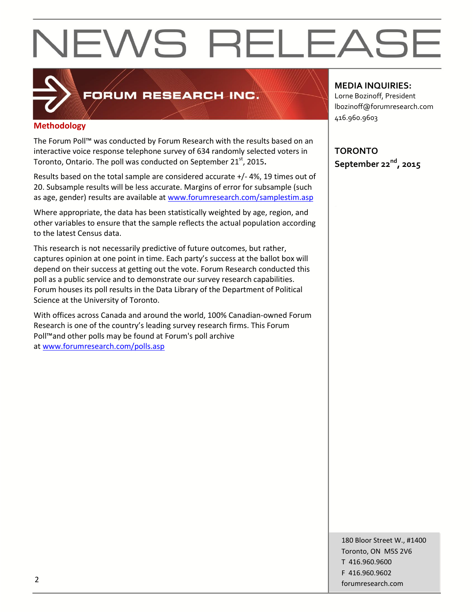

### FORUM RESEARCH INC.

#### **Methodology**

The Forum Poll™ was conducted by Forum Research with the results based on an interactive voice response telephone survey of 634 randomly selected voters in Toronto, Ontario. The poll was conducted on September 21<sup>st</sup>, 2015.

Results based on the total sample are considered accurate +/- 4%, 19 times out of 20. Subsample results will be less accurate. Margins of error for subsample (such as age, gender) results are available at [www.forumresearch.com/samplestim.asp](http://www.forumresearch.com/samplestim.asp)

Where appropriate, the data has been statistically weighted by age, region, and other variables to ensure that the sample reflects the actual population according to the latest Census data.

This research is not necessarily predictive of future outcomes, but rather, captures opinion at one point in time. Each party's success at the ballot box will depend on their success at getting out the vote. Forum Research conducted this poll as a public service and to demonstrate our survey research capabilities. Forum houses its poll results in the Data Library of the Department of Political Science at the University of Toronto.

With offices across Canada and around the world, 100% Canadian-owned Forum Research is one of the country's leading survey research firms. This Forum Poll™and other polls may be found at Forum's poll archive at [www.forumresearch.com/polls.asp](http://www.forumresearch.com/polls.asp)

**MEDIA INQUIRIES:**

Lorne Bozinoff, President lbozinoff@forumresearch.com 416.960.9603

**TORONTO September 22nd, 2015**

180 Bloor Street W., #1400 Toronto, ON M5S 2V6 T 416.960.9600 F 416.960.9602 example to the contract of the contract of the contract of the contract of the contract of the contract of the contract of the contract of the contract of the contract of the contract of the contract of the contract of the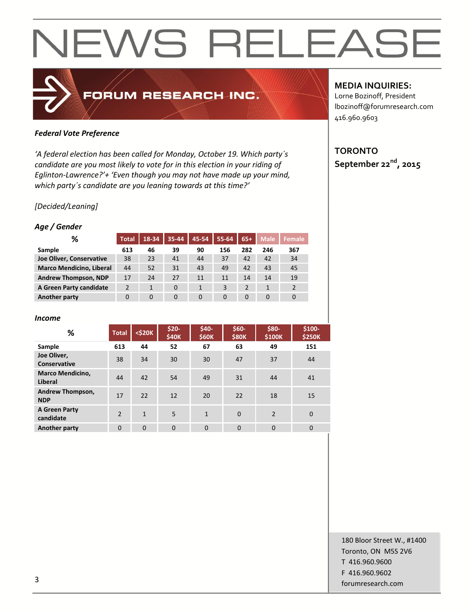#### *Federal Vote Preference*

*'A federal election has been called for Monday, October 19. Which party´s candidate are you most likely to vote for in this election in your riding of Eglinton-Lawrence?'+ 'Even though you may not have made up your mind, which party´s candidate are you leaning towards at this time?'*

FORUM RESEARCH INC.

#### *[Decided/Leaning]*

#### *Age / Gender*

| ℅                               | <b>Total</b>   | 18-34        | $35 - 44$ | 45-54    | 55-64    | $65+$          | <b>Male</b> | <b>Female</b> |
|---------------------------------|----------------|--------------|-----------|----------|----------|----------------|-------------|---------------|
| Sample                          | 613            | 46           | 39        | 90       | 156      | 282            | 246         | 367           |
| Joe Oliver, Conservative        | 38             | 23           | 41        | 44       | 37       | 42             | 42          | 34            |
| <b>Marco Mendicino, Liberal</b> | 44             | 52           | 31        | 43       | 49       | 42             | 43          | 45            |
| <b>Andrew Thompson, NDP</b>     | 17             | 24           | 27        | 11       | 11       | 14             | 14          | 19            |
| A Green Party candidate         | $\overline{2}$ | $\mathbf{1}$ | $\Omega$  | 1        | 3        | $\overline{2}$ |             |               |
| <b>Another party</b>            | $\Omega$       | $\Omega$     | $\Omega$  | $\Omega$ | $\Omega$ | $\Omega$       | $\Omega$    | 0             |

#### *Income*

| %                                  | <b>Total</b>   | $<$ \$20 $K$ | \$20-<br>\$40K | \$40-<br>\$60K | $$60-$<br><b>\$80K</b> | \$80-<br>\$100K | $$100-$<br><b>\$250K</b> |
|------------------------------------|----------------|--------------|----------------|----------------|------------------------|-----------------|--------------------------|
| Sample                             | 613            | 44           | 52             | 67             | 63                     | 49              | 151                      |
| Joe Oliver,<br>Conservative        | 38             | 34           | 30             | 30             | 47                     | 37              | 44                       |
| <b>Marco Mendicino,</b><br>Liberal | 44             | 42           | 54             | 49             | 31                     | 44              | 41                       |
| Andrew Thompson,<br><b>NDP</b>     | 17             | 22           | 12             | 20             | 22                     | 18              | 15                       |
| A Green Party<br>candidate         | $\overline{2}$ | $\mathbf{1}$ | 5              | $\mathbf{1}$   | $\Omega$               | $\overline{2}$  | $\mathbf 0$              |
| Another party                      | $\Omega$       | $\Omega$     | $\Omega$       | $\Omega$       | $\mathbf 0$            | $\Omega$        | $\mathbf 0$              |

#### **MEDIA INQUIRIES:**

Lorne Bozinoff, President lbozinoff@forumresearch.com 416.960.9603

#### **TORONTO September 22nd, 2015**

180 Bloor Street W., #1400 Toronto, ON M5S 2V6 T 416.960.9600 F 416.960.9602 for the contract of the contract of the contract of the contract of the contract of the contract of the contract of the contract of the contract of the contract of the contract of the contract of the contract of the contra